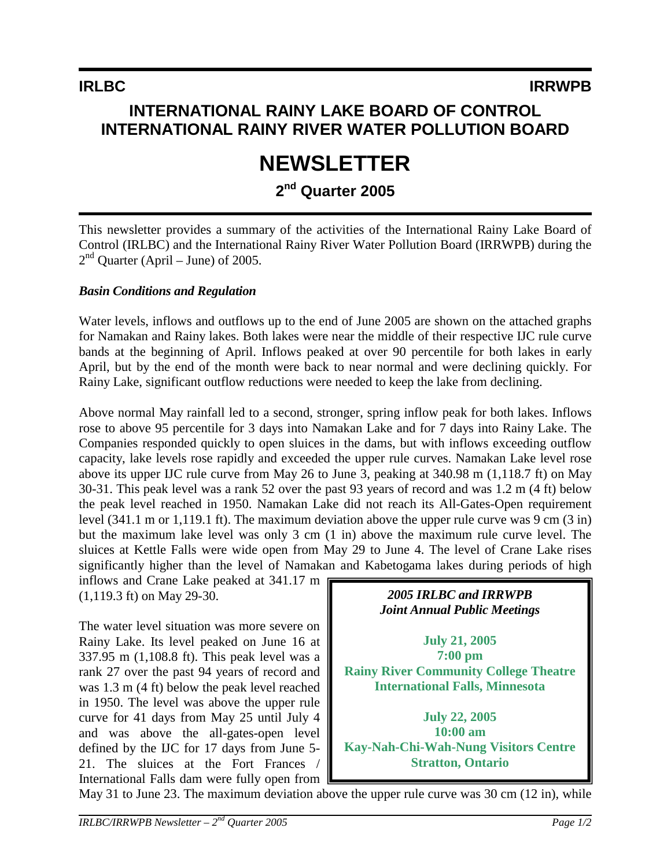## **INTERNATIONAL RAINY LAKE BOARD OF CONTROL INTERNATIONAL RAINY RIVER WATER POLLUTION BOARD**

# **NEWSLETTER**

## **2nd Quarter 2005**

This newsletter provides a summary of the activities of the International Rainy Lake Board of Control (IRLBC) and the International Rainy River Water Pollution Board (IRRWPB) during the  $2<sup>nd</sup>$  Quarter (April – June) of 2005.

#### *Basin Conditions and Regulation*

Water levels, inflows and outflows up to the end of June 2005 are shown on the attached graphs for Namakan and Rainy lakes. Both lakes were near the middle of their respective IJC rule curve bands at the beginning of April. Inflows peaked at over 90 percentile for both lakes in early April, but by the end of the month were back to near normal and were declining quickly. For Rainy Lake, significant outflow reductions were needed to keep the lake from declining.

Above normal May rainfall led to a second, stronger, spring inflow peak for both lakes. Inflows rose to above 95 percentile for 3 days into Namakan Lake and for 7 days into Rainy Lake. The Companies responded quickly to open sluices in the dams, but with inflows exceeding outflow capacity, lake levels rose rapidly and exceeded the upper rule curves. Namakan Lake level rose above its upper IJC rule curve from May 26 to June 3, peaking at 340.98 m (1,118.7 ft) on May 30-31. This peak level was a rank 52 over the past 93 years of record and was 1.2 m (4 ft) below the peak level reached in 1950. Namakan Lake did not reach its All-Gates-Open requirement level (341.1 m or 1,119.1 ft). The maximum deviation above the upper rule curve was 9 cm (3 in) but the maximum lake level was only 3 cm (1 in) above the maximum rule curve level. The sluices at Kettle Falls were wide open from May 29 to June 4. The level of Crane Lake rises significantly higher than the level of Namakan and Kabetogama lakes during periods of high

inflows and Crane Lake peaked at 341.17 m (1,119.3 ft) on May 29-30.

The water level situation was more severe on Rainy Lake. Its level peaked on June 16 at 337.95 m (1,108.8 ft). This peak level was a rank 27 over the past 94 years of record and was 1.3 m (4 ft) below the peak level reached in 1950. The level was above the upper rule curve for 41 days from May 25 until July 4 and was above the all-gates-open level defined by the IJC for 17 days from June 5- 21. The sluices at the Fort Frances / International Falls dam were fully open from



**July 22, 2005 10:00 am Kay-Nah-Chi-Wah-Nung Visitors Centre Stratton, Ontario**

May 31 to June 23. The maximum deviation above the upper rule curve was 30 cm (12 in), while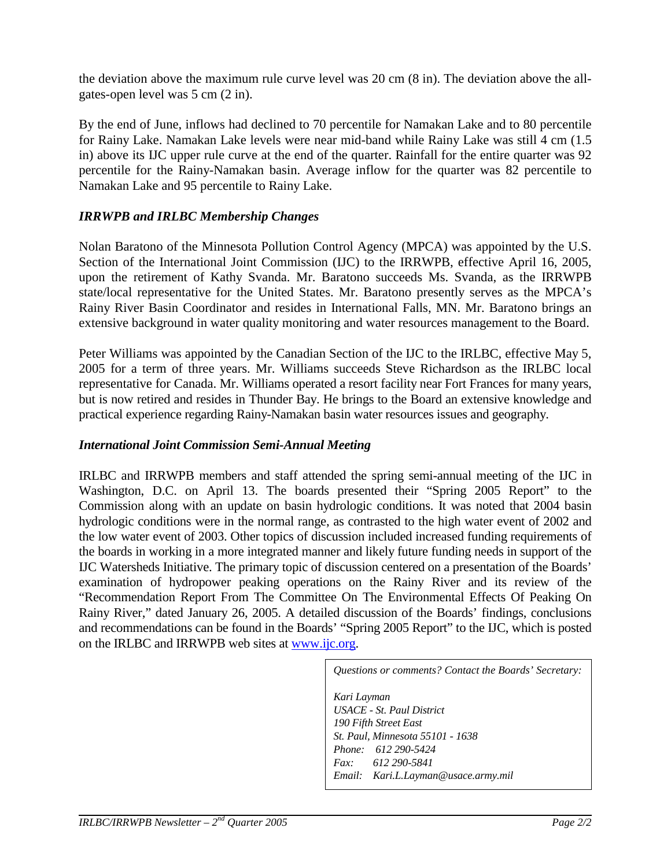the deviation above the maximum rule curve level was 20 cm (8 in). The deviation above the allgates-open level was 5 cm (2 in).

By the end of June, inflows had declined to 70 percentile for Namakan Lake and to 80 percentile for Rainy Lake. Namakan Lake levels were near mid-band while Rainy Lake was still 4 cm (1.5 in) above its IJC upper rule curve at the end of the quarter. Rainfall for the entire quarter was 92 percentile for the Rainy-Namakan basin. Average inflow for the quarter was 82 percentile to Namakan Lake and 95 percentile to Rainy Lake.

#### *IRRWPB and IRLBC Membership Changes*

Nolan Baratono of the Minnesota Pollution Control Agency (MPCA) was appointed by the U.S. Section of the International Joint Commission (IJC) to the IRRWPB, effective April 16, 2005, upon the retirement of Kathy Svanda. Mr. Baratono succeeds Ms. Svanda, as the IRRWPB state/local representative for the United States. Mr. Baratono presently serves as the MPCA's Rainy River Basin Coordinator and resides in International Falls, MN. Mr. Baratono brings an extensive background in water quality monitoring and water resources management to the Board.

Peter Williams was appointed by the Canadian Section of the IJC to the IRLBC, effective May 5, 2005 for a term of three years. Mr. Williams succeeds Steve Richardson as the IRLBC local representative for Canada. Mr. Williams operated a resort facility near Fort Frances for many years, but is now retired and resides in Thunder Bay. He brings to the Board an extensive knowledge and practical experience regarding Rainy-Namakan basin water resources issues and geography.

#### *International Joint Commission Semi-Annual Meeting*

IRLBC and IRRWPB members and staff attended the spring semi-annual meeting of the IJC in Washington, D.C. on April 13. The boards presented their "Spring 2005 Report" to the Commission along with an update on basin hydrologic conditions. It was noted that 2004 basin hydrologic conditions were in the normal range, as contrasted to the high water event of 2002 and the low water event of 2003. Other topics of discussion included increased funding requirements of the boards in working in a more integrated manner and likely future funding needs in support of the IJC Watersheds Initiative. The primary topic of discussion centered on a presentation of the Boards' examination of hydropower peaking operations on the Rainy River and its review of the "Recommendation Report From The Committee On The Environmental Effects Of Peaking On Rainy River," dated January 26, 2005. A detailed discussion of the Boards' findings, conclusions and recommendations can be found in the Boards' "Spring 2005 Report" to the IJC, which is posted on the IRLBC and IRRWPB web sites at www.ijc.org.

> *Questions or comments? Contact the Boards' Secretary: Kari Layman USACE - St. Paul District 190 Fifth Street East St. Paul, Minnesota 55101 - 1638 Phone: 612 290-5424 Fax: 612 290-5841 Email: Kari.L.Layman@usace.army.mil*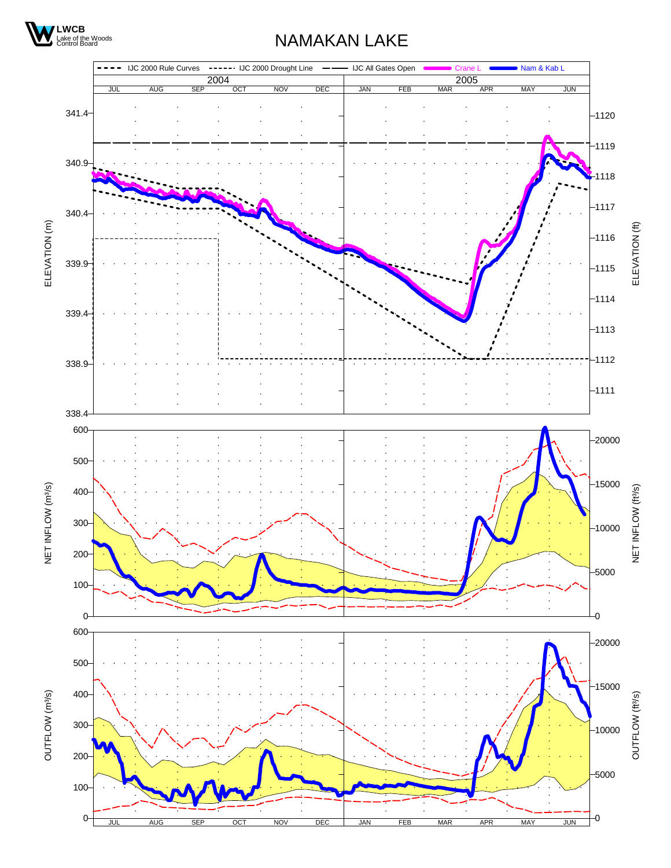

## NAMAKAN LAKE